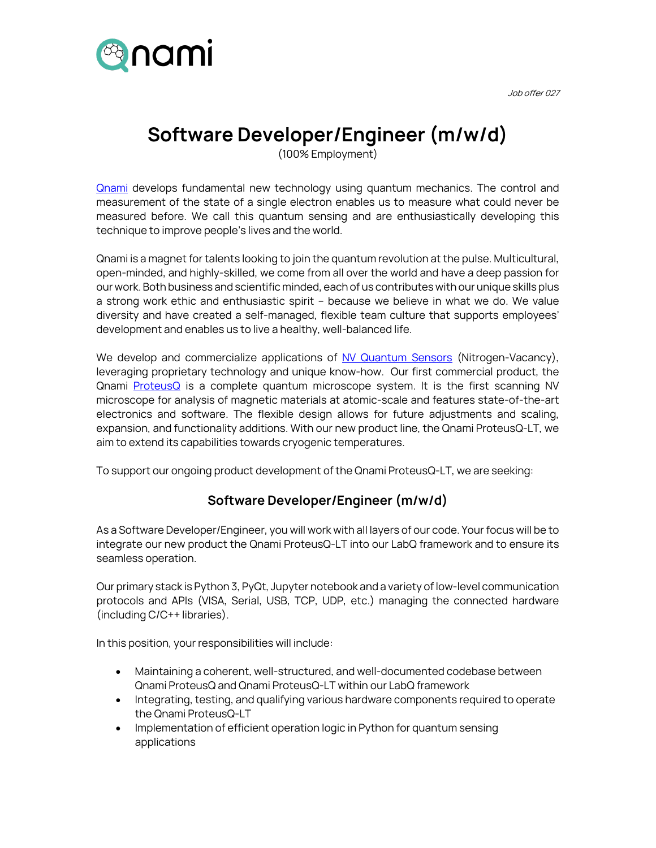

Job offer 027

## **Software Developer/Engineer (m/w/d)**

(100% Employment)

**[Qnami](http://www.qnami.ch/) develops fundamental new technology using quantum mechanics. The control and** measurement of the state of a single electron enables us to measure what could never be measured before. We call this quantum sensing and are enthusiastically developing this technique to improve people's lives and the world.

Qnami is a magnet for talents looking to join the quantum revolution at the pulse. Multicultural, open-minded, and highly-skilled, we come from all over the world and have a deep passion for our work. Both business and scientific minded, each of us contributes with our unique skills plus a strong work ethic and enthusiastic spirit – because we believe in what we do. We value diversity and have created a self-managed, flexible team culture that supports employees' development and enables us to live a healthy, well-balanced life.

We develop and commercialize applications of [NV Quantum Sensors](https://qnami.ch/technology/) (Nitrogen-Vacancy), leveraging proprietary technology and unique know-how. Our first commercial product, the Qnami [ProteusQ](https://qnami.ch/portfolio/proteusq/) is a complete quantum microscope system. It is the first scanning NV microscope for analysis of magnetic materials at atomic-scale and features state-of-the-art electronics and software. The flexible design allows for future adjustments and scaling, expansion, and functionality additions. With our new product line, the Qnami ProteusQ-LT, we aim to extend its capabilities towards cryogenic temperatures.

To support our ongoing product development of the Qnami ProteusQ-LT, we are seeking:

## **Software Developer/Engineer (m/w/d)**

As a Software Developer/Engineer, you will work with all layers of our code. Your focus will be to integrate our new product the Qnami ProteusQ-LT into our LabQ framework and to ensure its seamless operation.

Our primary stack is Python 3, PyQt, Jupyter notebook and a variety of low-level communication protocols and APIs (VISA, Serial, USB, TCP, UDP, etc.) managing the connected hardware (including C/C++ libraries).

In this position, your responsibilities will include:

- Maintaining a coherent, well-structured, and well-documented codebase between Qnami ProteusQ and Qnami ProteusQ-LT within our LabQ framework
- Integrating, testing, and qualifying various hardware components required to operate the Qnami ProteusQ-LT
- Implementation of efficient operation logic in Python for quantum sensing applications